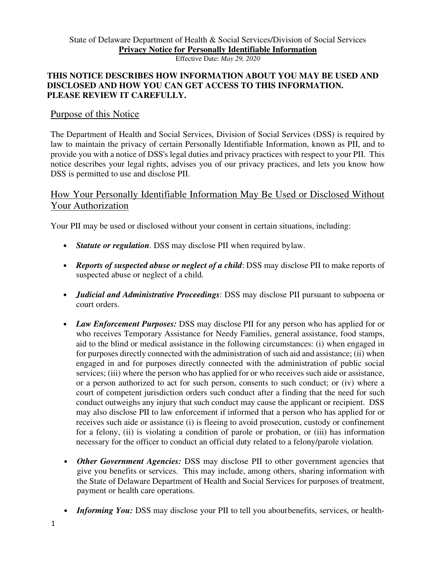Effective Date: *May 29, 2020*

### **THIS NOTICE DESCRIBES HOW INFORMATION ABOUT YOU MAY BE USED AND DISCLOSED AND HOW YOU CAN GET ACCESS TO THIS INFORMATION. PLEASE REVIEW IT CAREFULLY.**

# Purpose of this Notice

The Department of Health and Social Services, Division of Social Services (DSS) is required by law to maintain the privacy of certain Personally Identifiable Information, known as PII, and to provide you with a notice of DSS's legal duties and privacy practices with respect to your PII. This notice describes your legal rights, advises you of our privacy practices, and lets you know how DSS is permitted to use and disclose PII.

# How Your Personally Identifiable Information May Be Used or Disclosed Without Your Authorization

Your PII may be used or disclosed without your consent in certain situations, including:

- *Statute or regulation.* DSS may disclose PII when required by law.
- *Reports of suspected abuse or neglect of a child*: DSS may disclose PII to make reports of suspected abuse or neglect of a child.
- *Judicial and Administrative Proceedings*: DSS may disclose PII pursuant to subpoena or court orders.
- *Law Enforcement Purposes:* DSS may disclose PII for any person who has applied for or who receives Temporary Assistance for Needy Families, general assistance, food stamps, aid to the blind or medical assistance in the following circumstances: (i) when engaged in for purposes directly connected with the administration of such aid and assistance; (ii) when engaged in and for purposes directly connected with the administration of public social services; (iii) where the person who has applied for or who receives such aide or assistance, or a person authorized to act for such person, consents to such conduct; or (iv) where a court of competent jurisdiction orders such conduct after a finding that the need for such conduct outweighs any injury that such conduct may cause the applicant or recipient. DSS may also disclose PII to law enforcement if informed that a person who has applied for or receives such aide or assistance (i) is fleeing to avoid prosecution, custody or confinement for a felony, (ii) is violating a condition of parole or probation, or (iii) has information necessary for the officer to conduct an official duty related to a felony/parole violation.
- *Other Government Agencies:* DSS may disclose PII to other government agencies that give you benefits or services. This may include, among others, sharing information with the State of Delaware Department of Health and Social Services for purposes of treatment, payment or health care operations.
- *Informing You:* DSS may disclose your PII to tell you about benefits, services, or health-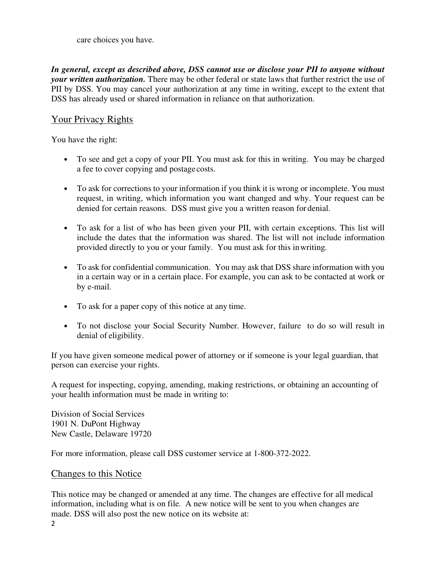care choices you have.

*In general, except as described above, DSS cannot use or disclose your PII to anyone without your written authorization.* There may be other federal or state laws that further restrict the use of PII by DSS. You may cancel your authorization at any time in writing, except to the extent that DSS has already used or shared information in reliance on that authorization.

## Your Privacy Rights

You have the right:

- To see and get a copy of your PII. You must ask for this in writing. You may be charged a fee to cover copying and postage costs.
- To ask for corrections to your information if you think it is wrong or incomplete. You must request, in writing, which information you want changed and why. Your request can be denied for certain reasons. DSS must give you a written reason for denial.
- To ask for a list of who has been given your PII, with certain exceptions. This list will include the dates that the information was shared. The list will not include information provided directly to you or your family. You must ask for this in writing.
- To ask for confidential communication. You may ask that DSS share information with you in a certain way or in a certain place. For example, you can ask to be contacted at work or by e-mail.
- To ask for a paper copy of this notice at any time.
- To not disclose your Social Security Number. However, failure to do so will result in denial of eligibility.

If you have given someone medical power of attorney or if someone is your legal guardian, that person can exercise your rights.

A request for inspecting, copying, amending, making restrictions, or obtaining an accounting of your health information must be made in writing to:

Division of Social Services 1901 N. DuPont Highway New Castle, Delaware 19720

For more information, please call DSS customer service at 1-800-372-2022.

#### Changes to this Notice

This notice may be changed or amended at any time. The changes are effective for all medical information, including what is on file. A new notice will be sent to you when changes are made. DSS will also post the new notice on its website at: